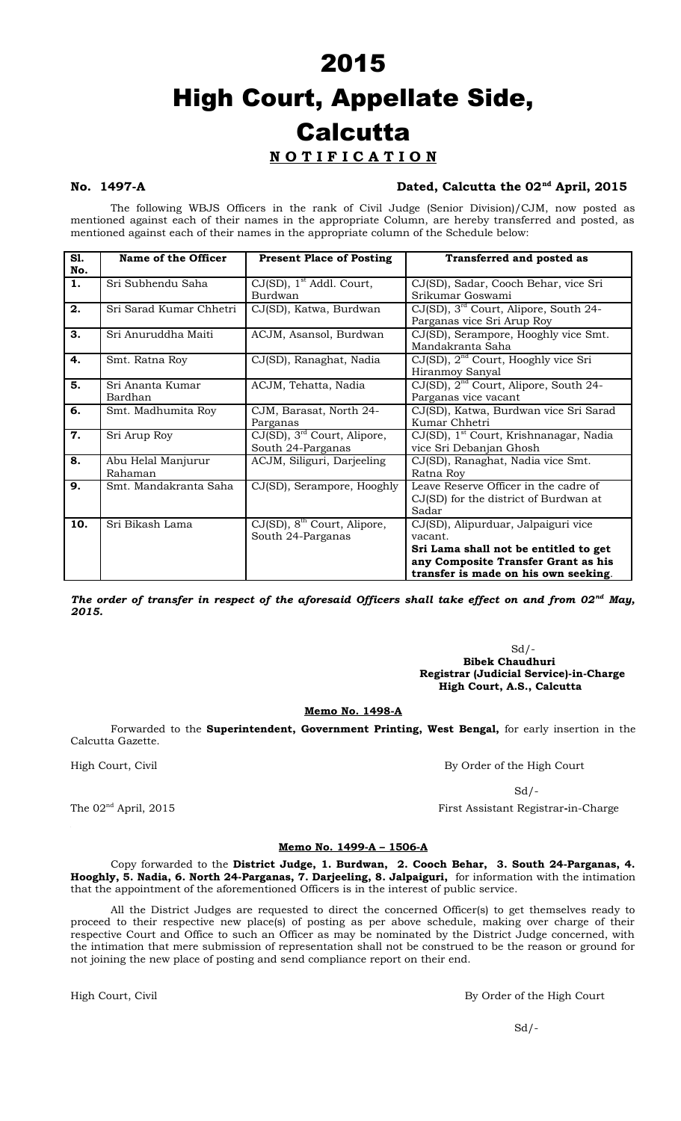## 2015 High Court, Appellate Side, **Calcutta N O T I F I C A T I O N**

### No. 1497-A Dated, Calcutta the 02<sup>nd</sup> April, 2015

The following WBJS Officers in the rank of Civil Judge (Senior Division)/CJM, now posted as mentioned against each of their names in the appropriate Column, are hereby transferred and posted, as mentioned against each of their names in the appropriate column of the Schedule below:

| <b>S1.</b> | Name of the Officer     | <b>Present Place of Posting</b>         | <b>Transferred and posted as</b>                   |
|------------|-------------------------|-----------------------------------------|----------------------------------------------------|
| No.        |                         |                                         |                                                    |
| 1.         | Sri Subhendu Saha       | $CJ(SD)$ , 1 <sup>st</sup> Addl. Court, | CJ(SD), Sadar, Cooch Behar, vice Sri               |
|            |                         | Burdwan                                 | Srikumar Goswami                                   |
| 2.         | Sri Sarad Kumar Chhetri | CJ(SD), Katwa, Burdwan                  | $CJ(SD)$ , $3rd$ Court, Alipore, South 24-         |
|            |                         |                                         | Parganas vice Sri Arup Roy                         |
| 3.         | Sri Anuruddha Maiti     | ACJM, Asansol, Burdwan                  | CJ(SD), Serampore, Hooghly vice Smt.               |
|            |                         |                                         | Mandakranta Saha                                   |
| 4.         | Smt. Ratna Roy          | CJ(SD), Ranaghat, Nadia                 | CJ(SD), 2 <sup>nd</sup> Court, Hooghly vice Sri    |
|            |                         |                                         | Hiranmoy Sanyal                                    |
| 5.         | Sri Ananta Kumar        | ACJM, Tehatta, Nadia                    | CJ(SD), 2 <sup>nd</sup> Court, Alipore, South 24-  |
|            | Bardhan                 |                                         | Parganas vice vacant                               |
| 6.         | Smt. Madhumita Roy      | CJM, Barasat, North 24-                 | CJ(SD), Katwa, Burdwan vice Sri Sarad              |
|            |                         | Parganas                                | Kumar Chhetri                                      |
| 7.         | Sri Arup Roy            | CJ(SD), 3 <sup>rd</sup> Court, Alipore, | CJ(SD), 1 <sup>st</sup> Court, Krishnanagar, Nadia |
|            |                         | South 24-Parganas                       | vice Sri Debanjan Ghosh                            |
| 8.         | Abu Helal Manjurur      | ACJM, Siliguri, Darjeeling              | CJ(SD), Ranaghat, Nadia vice Smt.                  |
|            | Rahaman                 |                                         | Ratna Roy                                          |
| 9.         | Smt. Mandakranta Saha   | CJ(SD), Serampore, Hooghly              | Leave Reserve Officer in the cadre of              |
|            |                         |                                         | CJ(SD) for the district of Burdwan at              |
|            |                         |                                         | Sadar                                              |
| 10.        | Sri Bikash Lama         | CJ(SD), 8 <sup>th</sup> Court, Alipore, | CJ(SD), Alipurduar, Jalpaiguri vice                |
|            |                         | South 24-Parganas                       | vacant.                                            |
|            |                         |                                         | Sri Lama shall not be entitled to get              |
|            |                         |                                         | any Composite Transfer Grant as his                |
|            |                         |                                         | transfer is made on his own seeking.               |

*The order of transfer in respect of the aforesaid Officers shall take effect on and from 02nd May, 2015.*

> $Sd$  /- **Bibek Chaudhuri Registrar (Judicial Service)-in-Charge High Court, A.S., Calcutta**

### **Memo No. 1498-A**

Forwarded to the **Superintendent, Government Printing, West Bengal,** for early insertion in the Calcutta Gazette.

High Court, Civil By Order of the High Court

 $Sd$  /-

The 02<sup>nd</sup> April, 2015 **First Assistant Registrar-in-Charge** 

### **Memo No. 1499-A – 1506-A**

Copy forwarded to the **District Judge, 1. Burdwan, 2. Cooch Behar, 3. South 24-Parganas, 4. Hooghly, 5. Nadia, 6. North 24-Parganas, 7. Darjeeling, 8. Jalpaiguri,** for information with the intimation that the appointment of the aforementioned Officers is in the interest of public service.

All the District Judges are requested to direct the concerned Officer(s) to get themselves ready to proceed to their respective new place(s) of posting as per above schedule, making over charge of their respective Court and Office to such an Officer as may be nominated by the District Judge concerned, with the intimation that mere submission of representation shall not be construed to be the reason or ground for not joining the new place of posting and send compliance report on their end.

High Court, Civil By Order of the High Court and By Order of the High Court

 $Sd$  /-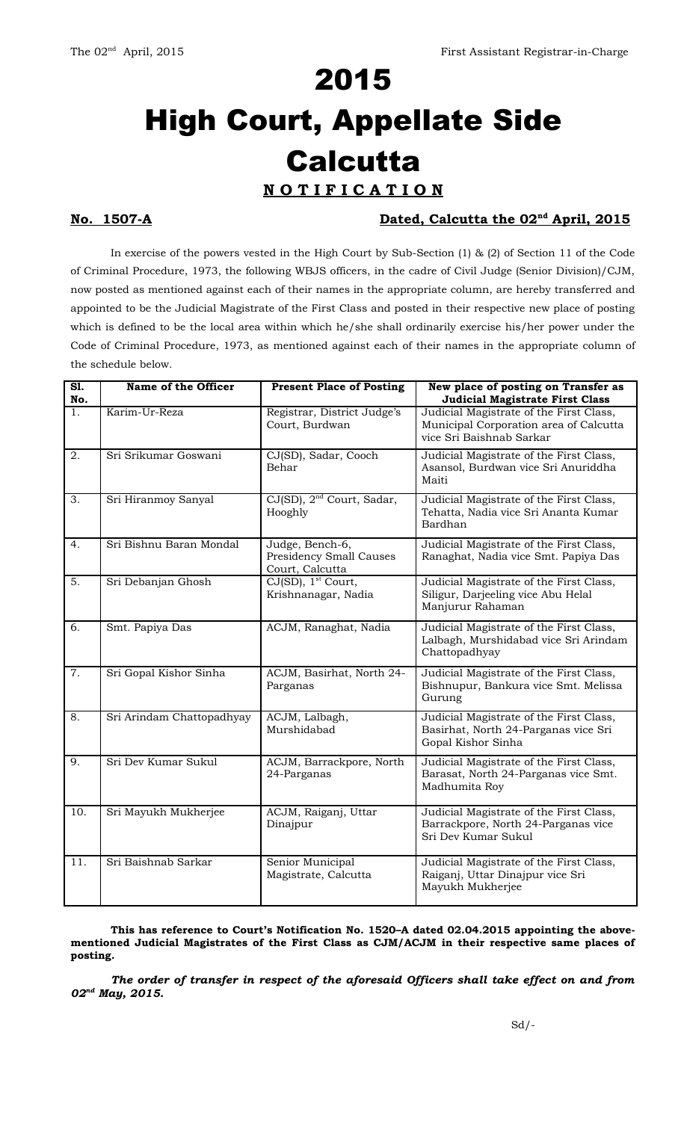# 2015 High Court, Appellate Side **Calcutta N O T I F I C A T I O N**

### **No. 1507-A** 2015

In exercise of the powers vested in the High Court by Sub-Section (1) & (2) of Section 11 of the Code of Criminal Procedure, 1973, the following WBJS officers, in the cadre of Civil Judge (Senior Division)/CJM, now posted as mentioned against each of their names in the appropriate column, are hereby transferred and appointed to be the Judicial Magistrate of the First Class and posted in their respective new place of posting which is defined to be the local area within which he/she shall ordinarily exercise his/her power under the Code of Criminal Procedure, 1973, as mentioned against each of their names in the appropriate column of the schedule below.

| S1.<br>No.       | Name of the Officer       | <b>Present Place of Posting</b>                               | New place of posting on Transfer as<br><b>Judicial Magistrate First Class</b>                                 |
|------------------|---------------------------|---------------------------------------------------------------|---------------------------------------------------------------------------------------------------------------|
| 1.               | Karim-Ur-Reza             | Registrar, District Judge's<br>Court, Burdwan                 | Judicial Magistrate of the First Class,<br>Municipal Corporation area of Calcutta<br>vice Sri Baishnab Sarkar |
| 2.               | Sri Srikumar Goswani      | CJ(SD), Sadar, Cooch<br>Behar                                 | Judicial Magistrate of the First Class,<br>Asansol, Burdwan vice Sri Anuriddha<br>Maiti                       |
| $\overline{3}$ . | Sri Hiranmoy Sanyal       | CJ(SD), 2 <sup>nd</sup> Court, Sadar,<br>Hooghly              | Judicial Magistrate of the First Class,<br>Tehatta, Nadia vice Sri Ananta Kumar<br>Bardhan                    |
| 4.               | Sri Bishnu Baran Mondal   | Judge, Bench-6,<br>Presidency Small Causes<br>Court, Calcutta | Judicial Magistrate of the First Class,<br>Ranaghat, Nadia vice Smt. Papiya Das                               |
| 5.               | Sri Debanjan Ghosh        | CJ(SD), 1 <sup>st</sup> Court,<br>Krishnanagar, Nadia         | Judicial Magistrate of the First Class,<br>Siligur, Darjeeling vice Abu Helal<br>Manjurur Rahaman             |
| 6.               | Smt. Papiya Das           | ACJM, Ranaghat, Nadia                                         | Judicial Magistrate of the First Class,<br>Lalbagh, Murshidabad vice Sri Arindam<br>Chattopadhyay             |
| $\overline{7}$ . | Sri Gopal Kishor Sinha    | ACJM, Basirhat, North 24-<br>Parganas                         | Judicial Magistrate of the First Class,<br>Bishnupur, Bankura vice Smt. Melissa<br>Gurung                     |
| 8.               | Sri Arindam Chattopadhyay | ACJM, Lalbagh,<br>Murshidabad                                 | Judicial Magistrate of the First Class,<br>Basirhat, North 24-Parganas vice Sri<br>Gopal Kishor Sinha         |
| 9.               | Sri Dev Kumar Sukul       | ACJM, Barrackpore, North<br>24-Parganas                       | Judicial Magistrate of the First Class,<br>Barasat, North 24-Parganas vice Smt.<br>Madhumita Roy              |
| 10.              | Sri Mayukh Mukherjee      | ACJM, Raiganj, Uttar<br>Dinajpur                              | Judicial Magistrate of the First Class,<br>Barrackpore, North 24-Parganas vice<br>Sri Dev Kumar Sukul         |
| 11.              | Sri Baishnab Sarkar       | Senior Municipal<br>Magistrate, Calcutta                      | Judicial Magistrate of the First Class,<br>Raiganj, Uttar Dinajpur vice Sri<br>Mayukh Mukherjee               |

**This has reference to Court's Notification No. 1520–A dated 02.04.2015 appointing the abovementioned Judicial Magistrates of the First Class as CJM/ACJM in their respective same places of posting.** 

*The order of transfer in respect of the aforesaid Officers shall take effect on and from 02nd May, 2015.*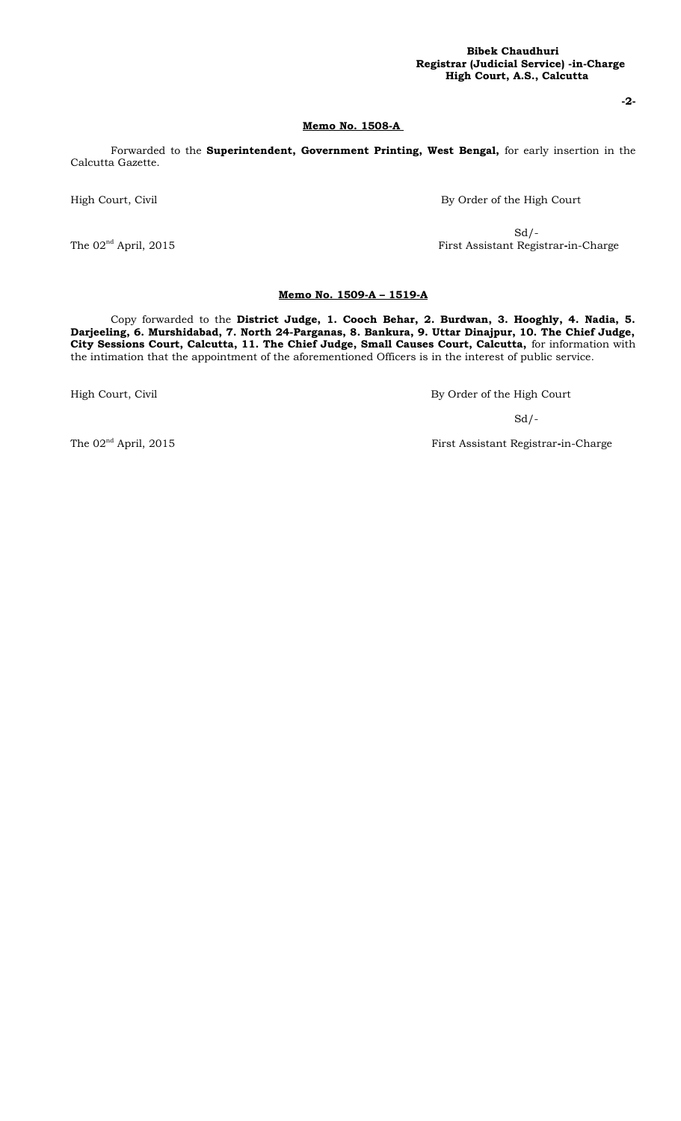### **Bibek Chaudhuri Registrar (Judicial Service) -in-Charge High Court, A.S., Calcutta**

**-2-**

### **Memo No. 1508-A**

Forwarded to the **Superintendent, Government Printing, West Bengal,** for early insertion in the Calcutta Gazette.

High Court, Civil By Order of the High Court

 $Sd$  /-The 02<sup>nd</sup> April, 2015 **First Assistant Registrar-in-Charge** 

### **Memo No. 1509-A – 1519-A**

Copy forwarded to the **District Judge, 1. Cooch Behar, 2. Burdwan, 3. Hooghly, 4. Nadia, 5. Darjeeling, 6. Murshidabad, 7. North 24-Parganas, 8. Bankura, 9. Uttar Dinajpur, 10. The Chief Judge, City Sessions Court, Calcutta, 11. The Chief Judge, Small Causes Court, Calcutta,** for information with the intimation that the appointment of the aforementioned Officers is in the interest of public service.

High Court, Civil By Order of the High Court

 $Sd$  /-

The 02<sup>nd</sup> April, 2015 **First Assistant Registrar-in-Charge**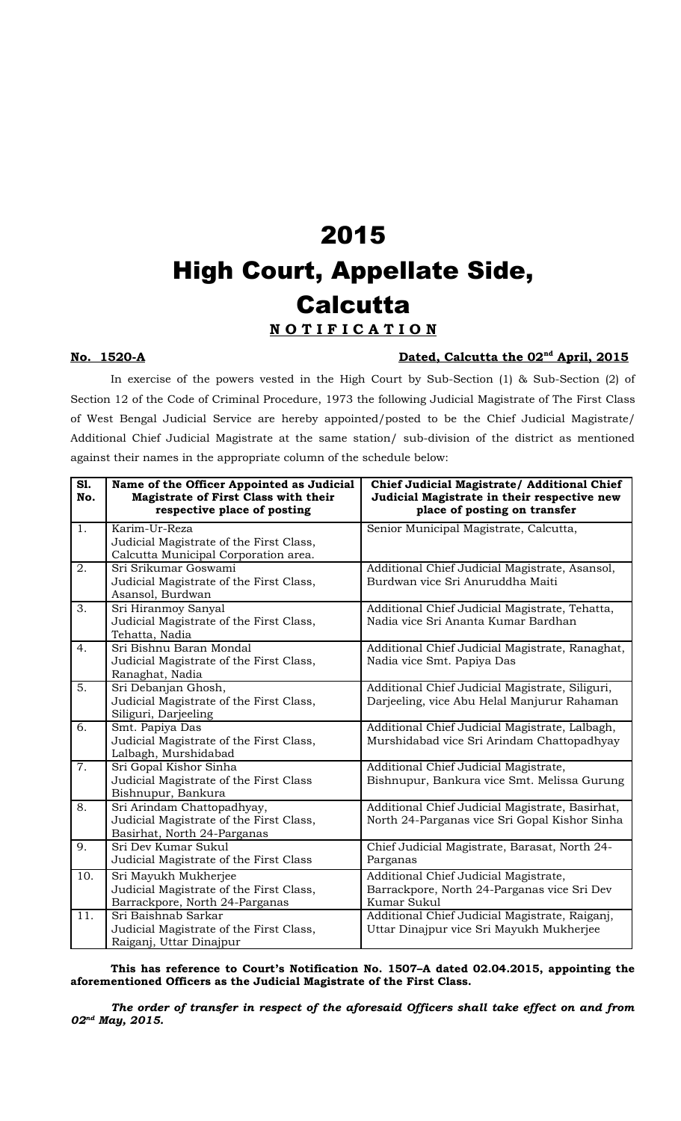## 2015 High Court, Appellate Side, **Calcutta N O T I F I C A T I O N**

### **No.** 1520-A **Dated, Calcutta the 02<sup>nd</sup> April, 2015**

In exercise of the powers vested in the High Court by Sub-Section (1) & Sub-Section (2) of Section 12 of the Code of Criminal Procedure, 1973 the following Judicial Magistrate of The First Class of West Bengal Judicial Service are hereby appointed/posted to be the Chief Judicial Magistrate/ Additional Chief Judicial Magistrate at the same station/ sub-division of the district as mentioned against their names in the appropriate column of the schedule below:

| S1.<br>No.       | Name of the Officer Appointed as Judicial<br>Magistrate of First Class with their<br>respective place of posting | Chief Judicial Magistrate/ Additional Chief<br>Judicial Magistrate in their respective new<br>place of posting on transfer |
|------------------|------------------------------------------------------------------------------------------------------------------|----------------------------------------------------------------------------------------------------------------------------|
| 1.               | Karim-Ur-Reza<br>Judicial Magistrate of the First Class,<br>Calcutta Municipal Corporation area.                 | Senior Municipal Magistrate, Calcutta,                                                                                     |
| 2.               | Sri Srikumar Goswami<br>Judicial Magistrate of the First Class,<br>Asansol, Burdwan                              | Additional Chief Judicial Magistrate, Asansol,<br>Burdwan vice Sri Anuruddha Maiti                                         |
| 3.               | Sri Hiranmoy Sanyal<br>Judicial Magistrate of the First Class,<br>Tehatta, Nadia                                 | Additional Chief Judicial Magistrate, Tehatta,<br>Nadia vice Sri Ananta Kumar Bardhan                                      |
| 4.               | Sri Bishnu Baran Mondal<br>Judicial Magistrate of the First Class,<br>Ranaghat, Nadia                            | Additional Chief Judicial Magistrate, Ranaghat,<br>Nadia vice Smt. Papiya Das                                              |
| 5.               | Sri Debanjan Ghosh,<br>Judicial Magistrate of the First Class,<br>Siliguri, Darjeeling                           | Additional Chief Judicial Magistrate, Siliguri,<br>Darjeeling, vice Abu Helal Manjurur Rahaman                             |
| 6.               | Smt. Papiya Das<br>Judicial Magistrate of the First Class,<br>Lalbagh, Murshidabad                               | Additional Chief Judicial Magistrate, Lalbagh,<br>Murshidabad vice Sri Arindam Chattopadhyay                               |
| $\overline{7}$ . | Sri Gopal Kishor Sinha<br>Judicial Magistrate of the First Class<br>Bishnupur, Bankura                           | Additional Chief Judicial Magistrate,<br>Bishnupur, Bankura vice Smt. Melissa Gurung                                       |
| 8.               | Sri Arindam Chattopadhyay,<br>Judicial Magistrate of the First Class,<br>Basirhat, North 24-Parganas             | Additional Chief Judicial Magistrate, Basirhat,<br>North 24-Parganas vice Sri Gopal Kishor Sinha                           |
| 9.               | Sri Dev Kumar Sukul<br>Judicial Magistrate of the First Class                                                    | Chief Judicial Magistrate, Barasat, North 24-<br>Parganas                                                                  |
| 10.              | Sri Mayukh Mukherjee<br>Judicial Magistrate of the First Class,<br>Barrackpore, North 24-Parganas                | Additional Chief Judicial Magistrate,<br>Barrackpore, North 24-Parganas vice Sri Dev<br>Kumar Sukul                        |
| 11.              | Sri Baishnab Sarkar<br>Judicial Magistrate of the First Class,<br>Raiganj, Uttar Dinajpur                        | Additional Chief Judicial Magistrate, Raiganj,<br>Uttar Dinajpur vice Sri Mayukh Mukherjee                                 |

**This has reference to Court's Notification No. 1507–A dated 02.04.2015, appointing the aforementioned Officers as the Judicial Magistrate of the First Class.** 

*The order of transfer in respect of the aforesaid Officers shall take effect on and from 02nd May, 2015.*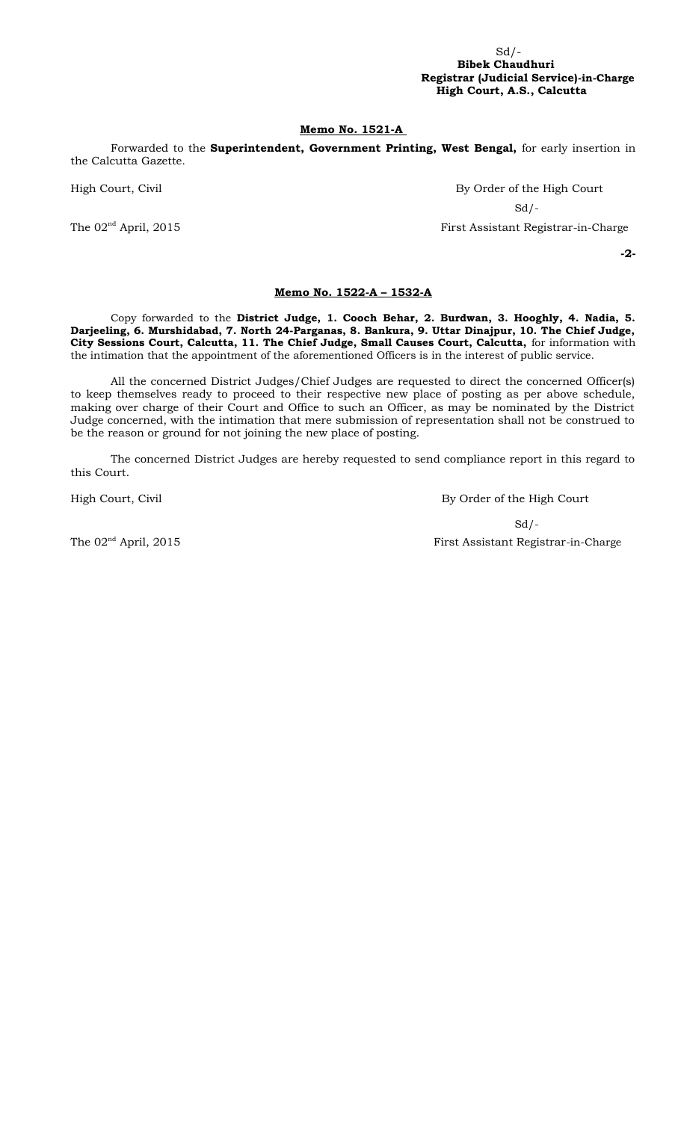### $Sd$  /- **Bibek Chaudhuri Registrar (Judicial Service)-in-Charge High Court, A.S., Calcutta**

### **Memo No. 1521-A**

Forwarded to the **Superintendent, Government Printing, West Bengal,** for early insertion in the Calcutta Gazette.

High Court, Civil **By Order of the High Court**  $Sd$  /-

The 02<sup>nd</sup> April, 2015 **First Assistant Registrar-in-Charge** 

**-2-**

### **Memo No. 1522-A – 1532-A**

Copy forwarded to the **District Judge, 1. Cooch Behar, 2. Burdwan, 3. Hooghly, 4. Nadia, 5. Darjeeling, 6. Murshidabad, 7. North 24-Parganas, 8. Bankura, 9. Uttar Dinajpur, 10. The Chief Judge, City Sessions Court, Calcutta, 11. The Chief Judge, Small Causes Court, Calcutta,** for information with the intimation that the appointment of the aforementioned Officers is in the interest of public service.

All the concerned District Judges/Chief Judges are requested to direct the concerned Officer(s) to keep themselves ready to proceed to their respective new place of posting as per above schedule, making over charge of their Court and Office to such an Officer, as may be nominated by the District Judge concerned, with the intimation that mere submission of representation shall not be construed to be the reason or ground for not joining the new place of posting.

The concerned District Judges are hereby requested to send compliance report in this regard to this Court.

High Court, Civil By Order of the High Court

 $Sd/-$ The 02<sup>nd</sup> April, 2015 **First Assistant Registrar-in-Charge**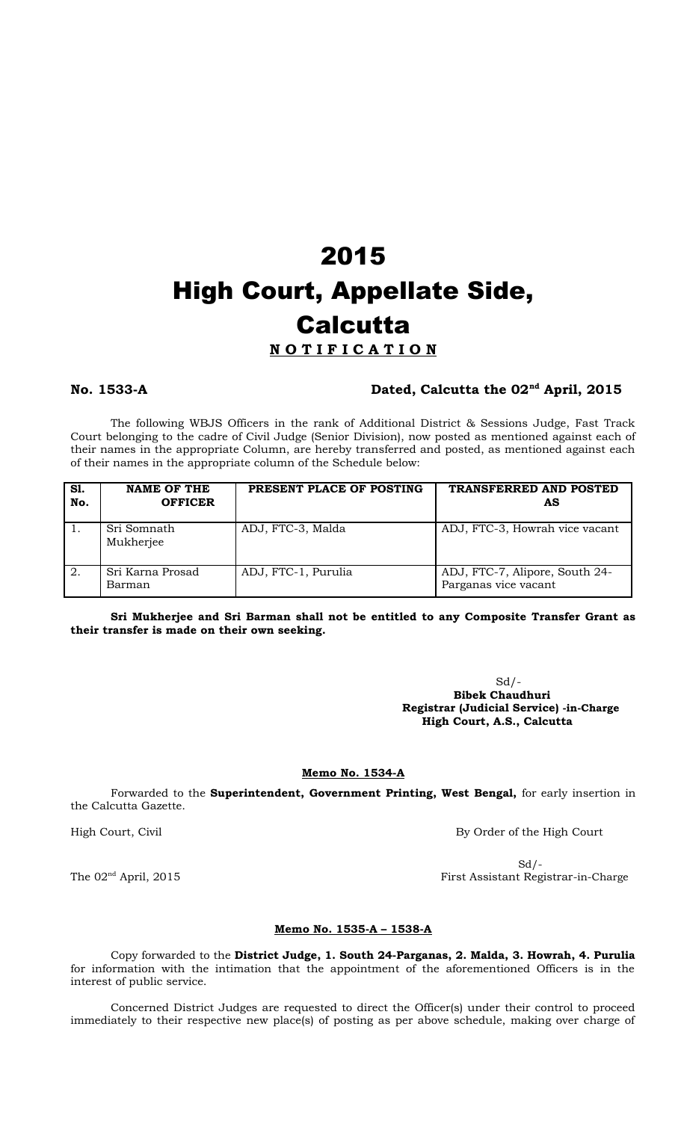# 2015 High Court, Appellate Side, **Calcutta**

### **N O T I F I C A T I O N**

### **No. 1533-A Dated, Calcutta the 02nd April, 2015**

The following WBJS Officers in the rank of Additional District & Sessions Judge, Fast Track Court belonging to the cadre of Civil Judge (Senior Division), now posted as mentioned against each of their names in the appropriate Column, are hereby transferred and posted, as mentioned against each of their names in the appropriate column of the Schedule below:

| S1.<br>No. | <b>NAME OF THE</b><br><b>OFFICER</b> | PRESENT PLACE OF POSTING | TRANSFERRED AND POSTED<br>AS                           |
|------------|--------------------------------------|--------------------------|--------------------------------------------------------|
|            | Sri Somnath<br>Mukherjee             | ADJ, FTC-3, Malda        | ADJ, FTC-3, Howrah vice vacant                         |
| 2.         | Sri Karna Prosad<br>Barman           | ADJ, FTC-1, Purulia      | ADJ, FTC-7, Alipore, South 24-<br>Parganas vice vacant |

**Sri Mukherjee and Sri Barman shall not be entitled to any Composite Transfer Grant as their transfer is made on their own seeking.**

> $Sd$  /- **Bibek Chaudhuri Registrar (Judicial Service) -in-Charge High Court, A.S., Calcutta**

### **Memo No. 1534-A**

Forwarded to the **Superintendent, Government Printing, West Bengal,** for early insertion in the Calcutta Gazette.

High Court, Civil **By Order of the High Court** 

 $Sd$  /-The  $02^{nd}$  April, 2015 First Assistant Registrar-in-Charge

### **Memo No. 1535-A – 1538-A**

Copy forwarded to the **District Judge, 1. South 24-Parganas, 2. Malda, 3. Howrah, 4. Purulia** for information with the intimation that the appointment of the aforementioned Officers is in the interest of public service.

Concerned District Judges are requested to direct the Officer(s) under their control to proceed immediately to their respective new place(s) of posting as per above schedule, making over charge of